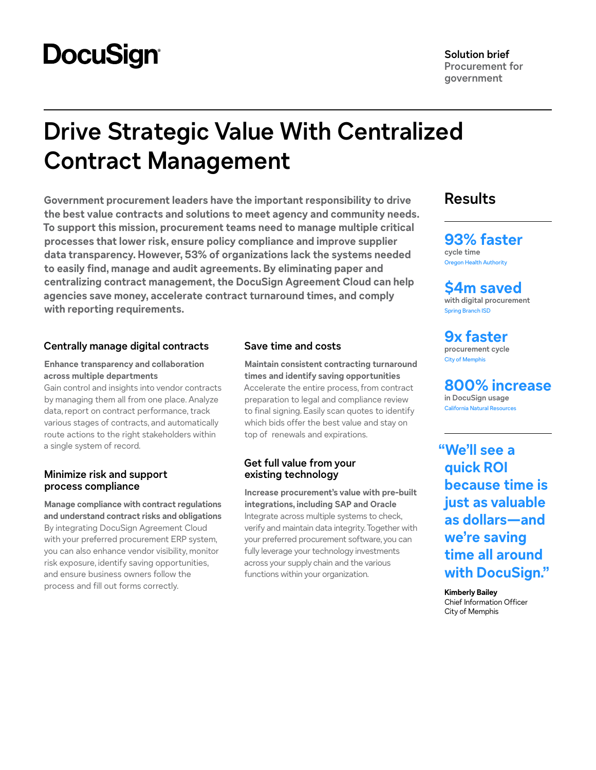# **DocuSign**

**Solution brief Procurement for government**

# **Drive Strategic Value With Centralized Contract Management**

**Government procurement leaders have the important responsibility to drive the best value contracts and solutions to meet agency and community needs. To support this mission, procurement teams need to manage multiple critical processes that lower risk, ensure policy compliance and improve supplier data transparency. However, 53% of organizations lack the systems needed to easily find, manage and audit agreements. By eliminating paper and centralizing contract management, the DocuSign Agreement Cloud can help agencies save money, accelerate contract turnaround times, and comply with reporting requirements.**

## **Centrally manage digital contracts**

### **Enhance transparency and collaboration across multiple departments**

Gain control and insights into vendor contracts by managing them all from one place. Analyze data, report on contract performance, track various stages of contracts, and automatically route actions to the right stakeholders within a single system of record.

## **Minimize risk and support process compliance**

**Manage compliance with contract regulations and understand contract risks and obligations** By integrating DocuSign Agreement Cloud with your preferred procurement ERP system, you can also enhance vendor visibility, monitor risk exposure, identify saving opportunities, and ensure business owners follow the process and fill out forms correctly.

## **Save time and costs**

**Maintain consistent contracting turnaround times and identify saving opportunities** Accelerate the entire process, from contract preparation to legal and compliance review to final signing. Easily scan quotes to identify which bids offer the best value and stay on top of renewals and expirations.

## **Get full value from your existing technology**

**Increase procurement's value with pre-built integrations, including SAP and Oracle** Integrate across multiple systems to check, verify and maintain data integrity. Together with your preferred procurement software, you can fully leverage your technology investments across your supply chain and the various functions within your organization.

# **Results**

**93% faster cycle time** [Oregon Health Authority](https://www.docusign.com/customer-stories/oregon-health-authority-gains-contract-visibility-and-speed-with-docusign-clm)

**\$4m saved with digital procurement** [Spring Branch ISD](https://www.docusign.com/customer-stories/spring-branch-independent-school-district-streamlines-vendor-contracting-with-the-docusign-agreement-cloud)

**9x faster procurement cycle** [City of Memphis](https://www.docusign.com/customer-stories/memphis-keeps-business-moving-with-docusign-esignature)

**800% increase in DocuSign usage** [California Natural Resources](https://www.docusign.com/customer-stories/docusign-helps-the-california-natural-resources-agency-and-the-department-of-water-resources-accelerate-its-digital-transformation)

**"We'll see a quick ROI because time is just as valuable as dollars—and we're saving time all around with DocuSign."**

**Kimberly Bailey** Chief Information Officer City of Memphis